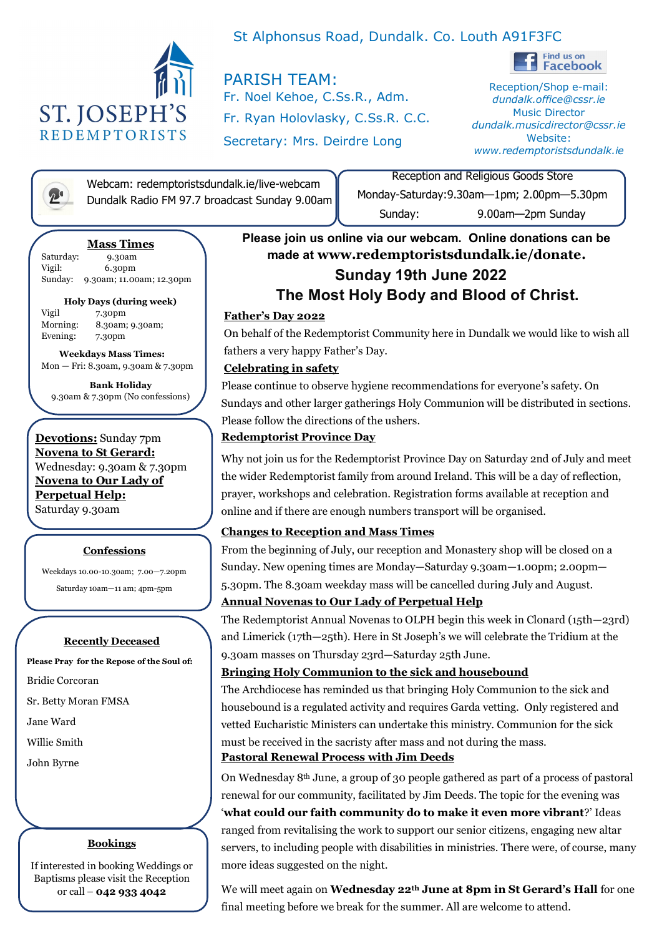

# St Alphonsus Road, Dundalk. Co. Louth A91F3FC

PARISH TEAM: Fr. Noel Kehoe, C.Ss.R., Adm. Fr. Ryan Holovlasky, C.Ss.R. C.C. Secretary: Mrs. Deirdre Long



Reception/Shop e-mail: *dundalk.office@cssr.ie* Music Director *dundalk.musicdirector@cssr.ie* Website: *www.redemptoristsdundalk.ie*

Webcam: redemptoristsdundalk.ie/live-webcam<br>Dundalk Radio FM 97.7 broadcast Sunday 9.00a Dundalk Radio FM 97.7 broadcast Sunday 9.00am

Reception and Religious Goods Store Monday-Saturday:9.30am—1pm; 2.00pm—5.30pm Sunday: 9.00am—2pm Sunday

## **Mass Times**

Saturday: 9.30am Vigil: 6.30pm Sunday: 9.30am; 11.00am; 12.30pm

## **Holy Days (during week)**

Vigil 7.30pm Morning: 8.30am; 9.30am; Evening: 7.30pm

 **Weekdays Mass Times:** Mon — Fri: 8.30am, 9.30am & 7.30pm

**Bank Holiday** 9.30am & 7.30pm (No confessions)

**Devotions:** Sunday 7pm **Novena to St Gerard:** Wednesday: 9.30am & 7.30pm **Novena to Our Lady of Perpetual Help:**  Saturday 9.30am

## **Confessions**

Weekdays 10.00-10.30am; 7.00—7.20pm

Saturday 10am—11 am; 4pm-5pm

## **Recently Deceased**

**Please Pray for the Repose of the Soul of:**

Bridie Corcoran

Sr. Betty Moran FMSA

Jane Ward

Willie Smith

John Byrne

## **Bookings**

If interested in booking Weddings or Baptisms please visit the Reception or call – **042 933 4042** 

# **Sunday 19th June 2022 The Most Holy Body and Blood of Christ. Please join us online via our webcam. Online donations can be made at www.redemptoristsdundalk.ie/donate.**

# **Father's Day 2022**

On behalf of the Redemptorist Community here in Dundalk we would like to wish all fathers a very happy Father's Day.

## **Celebrating in safety**

Please continue to observe hygiene recommendations for everyone's safety. On Sundays and other larger gatherings Holy Communion will be distributed in sections. Please follow the directions of the ushers.

# **Redemptorist Province Day**

Why not join us for the Redemptorist Province Day on Saturday 2nd of July and meet the wider Redemptorist family from around Ireland. This will be a day of reflection, prayer, workshops and celebration. Registration forms available at reception and online and if there are enough numbers transport will be organised.

# **Changes to Reception and Mass Times**

From the beginning of July, our reception and Monastery shop will be closed on a Sunday. New opening times are Monday—Saturday 9.30am—1.00pm; 2.00pm— 5.30pm. The 8.30am weekday mass will be cancelled during July and August.

# **Annual Novenas to Our Lady of Perpetual Help**

The Redemptorist Annual Novenas to OLPH begin this week in Clonard (15th—23rd) and Limerick (17th—25th). Here in St Joseph's we will celebrate the Tridium at the 9.30am masses on Thursday 23rd—Saturday 25th June.

# **Bringing Holy Communion to the sick and housebound**

The Archdiocese has reminded us that bringing Holy Communion to the sick and housebound is a regulated activity and requires Garda vetting. Only registered and vetted Eucharistic Ministers can undertake this ministry. Communion for the sick must be received in the sacristy after mass and not during the mass. **Pastoral Renewal Process with Jim Deeds**

On Wednesday 8th June, a group of 30 people gathered as part of a process of pastoral renewal for our community, facilitated by Jim Deeds. The topic for the evening was '**what could our faith community do to make it even more vibrant**?' Ideas ranged from revitalising the work to support our senior citizens, engaging new altar servers, to including people with disabilities in ministries. There were, of course, many more ideas suggested on the night.

We will meet again on **Wednesday 22th June at 8pm in St Gerard's Hall** for one final meeting before we break for the summer. All are welcome to attend.